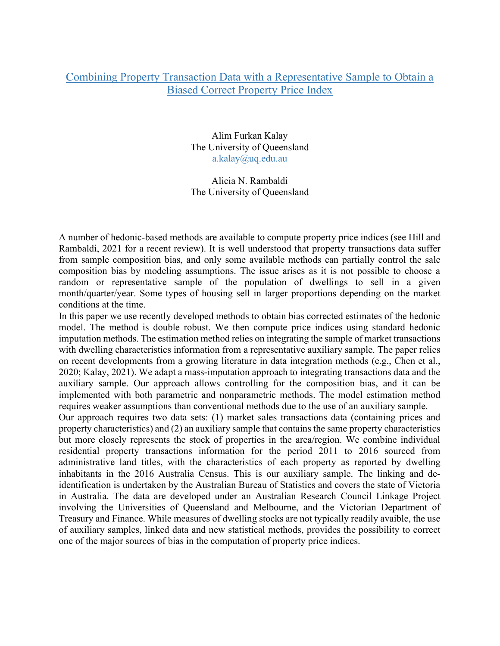## Combining Property Transaction Data with a Representative Sample to Obtain a Biased Correct Property Price Index

Alim Furkan Kalay The University of Queensland a.kalay@uq.edu.au

Alicia N. Rambaldi The University of Queensland

A number of hedonic-based methods are available to compute property price indices (see Hill and Rambaldi, 2021 for a recent review). It is well understood that property transactions data suffer from sample composition bias, and only some available methods can partially control the sale composition bias by modeling assumptions. The issue arises as it is not possible to choose a random or representative sample of the population of dwellings to sell in a given month/quarter/year. Some types of housing sell in larger proportions depending on the market conditions at the time.

In this paper we use recently developed methods to obtain bias corrected estimates of the hedonic model. The method is double robust. We then compute price indices using standard hedonic imputation methods. The estimation method relies on integrating the sample of market transactions with dwelling characteristics information from a representative auxiliary sample. The paper relies on recent developments from a growing literature in data integration methods (e.g., Chen et al., 2020; Kalay, 2021). We adapt a mass-imputation approach to integrating transactions data and the auxiliary sample. Our approach allows controlling for the composition bias, and it can be implemented with both parametric and nonparametric methods. The model estimation method requires weaker assumptions than conventional methods due to the use of an auxiliary sample.

Our approach requires two data sets: (1) market sales transactions data (containing prices and property characteristics) and (2) an auxiliary sample that contains the same property characteristics but more closely represents the stock of properties in the area/region. We combine individual residential property transactions information for the period 2011 to 2016 sourced from administrative land titles, with the characteristics of each property as reported by dwelling inhabitants in the 2016 Australia Census. This is our auxiliary sample. The linking and deidentification is undertaken by the Australian Bureau of Statistics and covers the state of Victoria in Australia. The data are developed under an Australian Research Council Linkage Project involving the Universities of Queensland and Melbourne, and the Victorian Department of Treasury and Finance. While measures of dwelling stocks are not typically readily avaible, the use of auxiliary samples, linked data and new statistical methods, provides the possibility to correct one of the major sources of bias in the computation of property price indices.